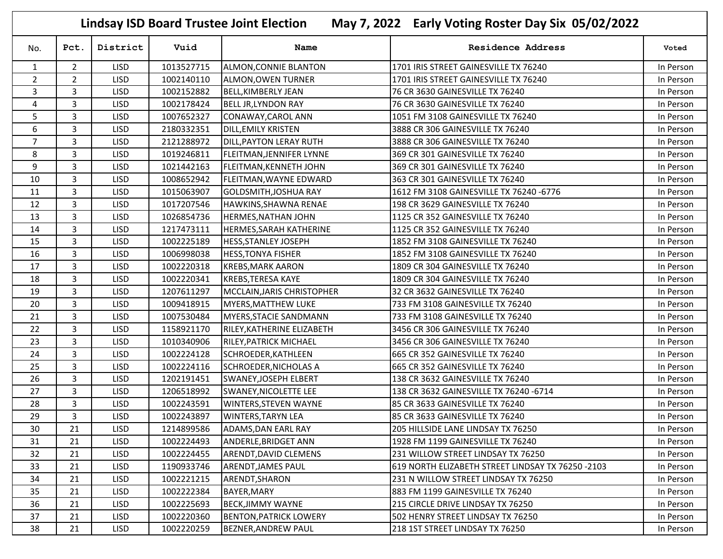|                | May 7, 2022 Early Voting Roster Day Six 05/02/2022<br><b>Lindsay ISD Board Trustee Joint Election</b> |             |            |                               |                                                   |           |  |  |
|----------------|-------------------------------------------------------------------------------------------------------|-------------|------------|-------------------------------|---------------------------------------------------|-----------|--|--|
| No.            | Pct.                                                                                                  | District    | Vuid       | Name                          | Residence Address                                 | Voted     |  |  |
| 1              | $\overline{a}$                                                                                        | <b>LISD</b> | 1013527715 | <b>ALMON, CONNIE BLANTON</b>  | 1701 IRIS STREET GAINESVILLE TX 76240             | In Person |  |  |
| $\overline{2}$ | $\overline{2}$                                                                                        | <b>LISD</b> | 1002140110 | <b>ALMON, OWEN TURNER</b>     | 1701 IRIS STREET GAINESVILLE TX 76240             | In Person |  |  |
| 3              | 3                                                                                                     | <b>LISD</b> | 1002152882 | BELL, KIMBERLY JEAN           | 76 CR 3630 GAINESVILLE TX 76240                   | In Person |  |  |
| 4              | 3                                                                                                     | <b>LISD</b> | 1002178424 | <b>BELL JR, LYNDON RAY</b>    | 76 CR 3630 GAINESVILLE TX 76240                   | In Person |  |  |
| 5              | 3                                                                                                     | <b>LISD</b> | 1007652327 | CONAWAY, CAROL ANN            | 1051 FM 3108 GAINESVILLE TX 76240                 | In Person |  |  |
| 6              | 3                                                                                                     | <b>LISD</b> | 2180332351 | <b>DILL, EMILY KRISTEN</b>    | 3888 CR 306 GAINESVILLE TX 76240                  | In Person |  |  |
| $\overline{7}$ | 3                                                                                                     | <b>LISD</b> | 2121288972 | DILL, PAYTON LERAY RUTH       | 3888 CR 306 GAINESVILLE TX 76240                  | In Person |  |  |
| 8              | 3                                                                                                     | <b>LISD</b> | 1019246811 | FLEITMAN, JENNIFER LYNNE      | 369 CR 301 GAINESVILLE TX 76240                   | In Person |  |  |
| 9              | 3                                                                                                     | <b>LISD</b> | 1021442163 | FLEITMAN, KENNETH JOHN        | 369 CR 301 GAINESVILLE TX 76240                   | In Person |  |  |
| 10             | 3                                                                                                     | <b>LISD</b> | 1008652942 | FLEITMAN, WAYNE EDWARD        | 363 CR 301 GAINESVILLE TX 76240                   | In Person |  |  |
| 11             | 3                                                                                                     | <b>LISD</b> | 1015063907 | GOLDSMITH, JOSHUA RAY         | 1612 FM 3108 GAINESVILLE TX 76240 -6776           | In Person |  |  |
| 12             | 3                                                                                                     | <b>LISD</b> | 1017207546 | HAWKINS, SHAWNA RENAE         | 198 CR 3629 GAINESVILLE TX 76240                  | In Person |  |  |
| 13             | 3                                                                                                     | <b>LISD</b> | 1026854736 | HERMES, NATHAN JOHN           | 1125 CR 352 GAINESVILLE TX 76240                  | In Person |  |  |
| 14             | 3                                                                                                     | <b>LISD</b> | 1217473111 | HERMES, SARAH KATHERINE       | 1125 CR 352 GAINESVILLE TX 76240                  | In Person |  |  |
| 15             | 3                                                                                                     | <b>LISD</b> | 1002225189 | <b>HESS, STANLEY JOSEPH</b>   | 1852 FM 3108 GAINESVILLE TX 76240                 | In Person |  |  |
| 16             | 3                                                                                                     | <b>LISD</b> | 1006998038 | <b>HESS, TONYA FISHER</b>     | 1852 FM 3108 GAINESVILLE TX 76240                 | In Person |  |  |
| 17             | 3                                                                                                     | <b>LISD</b> | 1002220318 | <b>KREBS, MARK AARON</b>      | 1809 CR 304 GAINESVILLE TX 76240                  | In Person |  |  |
| 18             | 3                                                                                                     | <b>LISD</b> | 1002220341 | <b>KREBS, TERESA KAYE</b>     | 1809 CR 304 GAINESVILLE TX 76240                  | In Person |  |  |
| 19             | 3                                                                                                     | <b>LISD</b> | 1207611297 | MCCLAIN, JARIS CHRISTOPHER    | 32 CR 3632 GAINESVILLE TX 76240                   | In Person |  |  |
| 20             | 3                                                                                                     | <b>LISD</b> | 1009418915 | <b>MYERS, MATTHEW LUKE</b>    | 733 FM 3108 GAINESVILLE TX 76240                  | In Person |  |  |
| 21             | 3                                                                                                     | <b>LISD</b> | 1007530484 | MYERS, STACIE SANDMANN        | 733 FM 3108 GAINESVILLE TX 76240                  | In Person |  |  |
| 22             | 3                                                                                                     | <b>LISD</b> | 1158921170 | RILEY, KATHERINE ELIZABETH    | 3456 CR 306 GAINESVILLE TX 76240                  | In Person |  |  |
| 23             | 3                                                                                                     | <b>LISD</b> | 1010340906 | RILEY, PATRICK MICHAEL        | 3456 CR 306 GAINESVILLE TX 76240                  | In Person |  |  |
| 24             | 3                                                                                                     | <b>LISD</b> | 1002224128 | SCHROEDER, KATHLEEN           | 665 CR 352 GAINESVILLE TX 76240                   | In Person |  |  |
| 25             | 3                                                                                                     | <b>LISD</b> | 1002224116 | <b>SCHROEDER, NICHOLAS A</b>  | 665 CR 352 GAINESVILLE TX 76240                   | In Person |  |  |
| 26             | 3                                                                                                     | <b>LISD</b> | 1202191451 | <b>SWANEY, JOSEPH ELBERT</b>  | 138 CR 3632 GAINESVILLE TX 76240                  | In Person |  |  |
| 27             | 3                                                                                                     | <b>LISD</b> | 1206518992 | <b>SWANEY, NICOLETTE LEE</b>  | 138 CR 3632 GAINESVILLE TX 76240 -6714            | In Person |  |  |
| 28             | 3                                                                                                     | <b>LISD</b> | 1002243591 | <b>WINTERS, STEVEN WAYNE</b>  | 85 CR 3633 GAINESVILLE TX 76240                   | In Person |  |  |
| 29             | 3                                                                                                     | <b>LISD</b> | 1002243897 | <b>WINTERS, TARYN LEA</b>     | 85 CR 3633 GAINESVILLE TX 76240                   | In Person |  |  |
| 30             | 21                                                                                                    | <b>LISD</b> | 1214899586 | ADAMS,DAN EARL RAY            | 205 HILLSIDE LANE LINDSAY TX 76250                | In Person |  |  |
| 31             | 21                                                                                                    | <b>LISD</b> | 1002224493 | ANDERLE, BRIDGET ANN          | 1928 FM 1199 GAINESVILLE TX 76240                 | In Person |  |  |
| 32             | 21                                                                                                    | <b>LISD</b> | 1002224455 | ARENDT, DAVID CLEMENS         | 231 WILLOW STREET LINDSAY TX 76250                | In Person |  |  |
| 33             | 21                                                                                                    | <b>LISD</b> | 1190933746 | <b>ARENDT, JAMES PAUL</b>     | 619 NORTH ELIZABETH STREET LINDSAY TX 76250 -2103 | In Person |  |  |
| 34             | 21                                                                                                    | <b>LISD</b> | 1002221215 | ARENDT, SHARON                | 231 N WILLOW STREET LINDSAY TX 76250              | In Person |  |  |
| 35             | 21                                                                                                    | <b>LISD</b> | 1002222384 | BAYER, MARY                   | 883 FM 1199 GAINESVILLE TX 76240                  | In Person |  |  |
| 36             | 21                                                                                                    | <b>LISD</b> | 1002225693 | <b>BECK, JIMMY WAYNE</b>      | 215 CIRCLE DRIVE LINDSAY TX 76250                 | In Person |  |  |
| 37             | 21                                                                                                    | <b>LISD</b> | 1002220360 | <b>BENTON, PATRICK LOWERY</b> | 502 HENRY STREET LINDSAY TX 76250                 | In Person |  |  |
| 38             | 21                                                                                                    | LISD        | 1002220259 | <b>BEZNER, ANDREW PAUL</b>    | 218 1ST STREET LINDSAY TX 76250                   | In Person |  |  |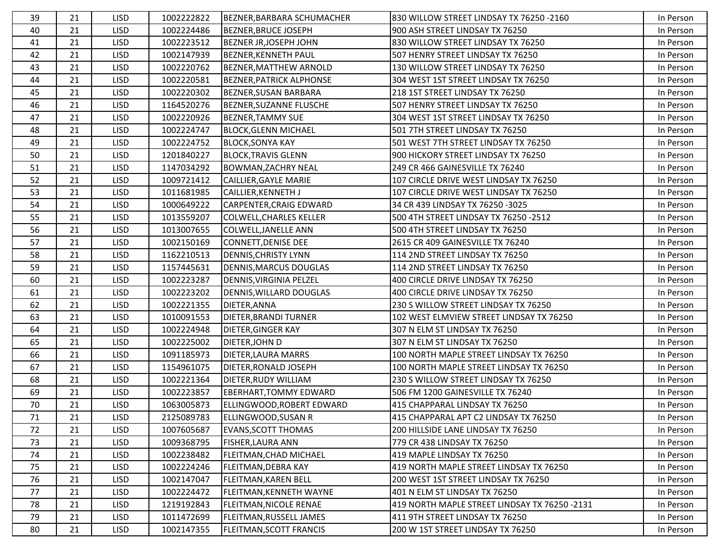| 39 | 21 | <b>LISD</b> | 1002222822 | BEZNER, BARBARA SCHUMACHER      | 830 WILLOW STREET LINDSAY TX 76250 -2160      | In Person |
|----|----|-------------|------------|---------------------------------|-----------------------------------------------|-----------|
| 40 | 21 | <b>LISD</b> | 1002224486 | <b>BEZNER, BRUCE JOSEPH</b>     | 900 ASH STREET LINDSAY TX 76250               | In Person |
| 41 | 21 | <b>LISD</b> | 1002223512 | <b>BEZNER JR, JOSEPH JOHN</b>   | 830 WILLOW STREET LINDSAY TX 76250            | In Person |
| 42 | 21 | <b>LISD</b> | 1002147939 | <b>BEZNER, KENNETH PAUL</b>     | 507 HENRY STREET LINDSAY TX 76250             | In Person |
| 43 | 21 | <b>LISD</b> | 1002220762 | <b>BEZNER, MATTHEW ARNOLD</b>   | 130 WILLOW STREET LINDSAY TX 76250            | In Person |
| 44 | 21 | <b>LISD</b> | 1002220581 | <b>BEZNER, PATRICK ALPHONSE</b> | 304 WEST 1ST STREET LINDSAY TX 76250          | In Person |
| 45 | 21 | <b>LISD</b> | 1002220302 | <b>BEZNER, SUSAN BARBARA</b>    | 218 1ST STREET LINDSAY TX 76250               | In Person |
| 46 | 21 | <b>LISD</b> | 1164520276 | <b>BEZNER, SUZANNE FLUSCHE</b>  | 507 HENRY STREET LINDSAY TX 76250             | In Person |
| 47 | 21 | <b>LISD</b> | 1002220926 | <b>BEZNER, TAMMY SUE</b>        | 304 WEST 1ST STREET LINDSAY TX 76250          | In Person |
| 48 | 21 | <b>LISD</b> | 1002224747 | <b>BLOCK, GLENN MICHAEL</b>     | 501 7TH STREET LINDSAY TX 76250               | In Person |
| 49 | 21 | <b>LISD</b> | 1002224752 | <b>BLOCK, SONYA KAY</b>         | 501 WEST 7TH STREET LINDSAY TX 76250          | In Person |
| 50 | 21 | <b>LISD</b> | 1201840227 | <b>BLOCK, TRAVIS GLENN</b>      | 900 HICKORY STREET LINDSAY TX 76250           | In Person |
| 51 | 21 | <b>LISD</b> | 1147034292 | <b>BOWMAN, ZACHRY NEAL</b>      | 249 CR 466 GAINESVILLE TX 76240               | In Person |
| 52 | 21 | <b>LISD</b> | 1009721412 | CAILLIER, GAYLE MARIE           | 107 CIRCLE DRIVE WEST LINDSAY TX 76250        | In Person |
| 53 | 21 | <b>LISD</b> | 1011681985 | CAILLIER, KENNETH J             | 107 CIRCLE DRIVE WEST LINDSAY TX 76250        | In Person |
| 54 | 21 | <b>LISD</b> | 1000649222 | CARPENTER, CRAIG EDWARD         | 34 CR 439 LINDSAY TX 76250 -3025              | In Person |
| 55 | 21 | <b>LISD</b> | 1013559207 | COLWELL, CHARLES KELLER         | 500 4TH STREET LINDSAY TX 76250 -2512         | In Person |
| 56 | 21 | <b>LISD</b> | 1013007655 | <b>COLWELL, JANELLE ANN</b>     | 500 4TH STREET LINDSAY TX 76250               | In Person |
| 57 | 21 | <b>LISD</b> | 1002150169 | CONNETT, DENISE DEE             | 2615 CR 409 GAINESVILLE TX 76240              | In Person |
| 58 | 21 | <b>LISD</b> | 1162210513 | <b>DENNIS, CHRISTY LYNN</b>     | 114 2ND STREET LINDSAY TX 76250               | In Person |
| 59 | 21 | <b>LISD</b> | 1157445631 | DENNIS, MARCUS DOUGLAS          | 114 2ND STREET LINDSAY TX 76250               | In Person |
| 60 | 21 | <b>LISD</b> | 1002223287 | DENNIS, VIRGINIA PELZEL         | 400 CIRCLE DRIVE LINDSAY TX 76250             | In Person |
| 61 | 21 | <b>LISD</b> | 1002223202 | DENNIS, WILLARD DOUGLAS         | 400 CIRCLE DRIVE LINDSAY TX 76250             | In Person |
| 62 | 21 | <b>LISD</b> | 1002221355 | DIETER, ANNA                    | 230 S WILLOW STREET LINDSAY TX 76250          | In Person |
| 63 | 21 | <b>LISD</b> | 1010091553 | <b>DIETER, BRANDI TURNER</b>    | 102 WEST ELMVIEW STREET LINDSAY TX 76250      | In Person |
| 64 | 21 | <b>LISD</b> | 1002224948 | <b>DIETER, GINGER KAY</b>       | 307 N ELM ST LINDSAY TX 76250                 | In Person |
| 65 | 21 | <b>LISD</b> | 1002225002 | <b>DIETER, JOHN D</b>           | 307 N ELM ST LINDSAY TX 76250                 | In Person |
| 66 | 21 | <b>LISD</b> | 1091185973 | <b>DIETER, LAURA MARRS</b>      | 100 NORTH MAPLE STREET LINDSAY TX 76250       | In Person |
| 67 | 21 | <b>LISD</b> | 1154961075 | DIETER, RONALD JOSEPH           | 100 NORTH MAPLE STREET LINDSAY TX 76250       | In Person |
| 68 | 21 | <b>LISD</b> | 1002221364 | DIETER, RUDY WILLIAM            | 230 S WILLOW STREET LINDSAY TX 76250          | In Person |
| 69 | 21 | <b>LISD</b> | 1002223857 | <b>EBERHART, TOMMY EDWARD</b>   | 506 FM 1200 GAINESVILLE TX 76240              | In Person |
| 70 | 21 | <b>LISD</b> | 1063005873 | ELLINGWOOD, ROBERT EDWARD       | 415 CHAPPARAL LINDSAY TX 76250                | In Person |
| 71 | 21 | <b>LISD</b> | 2125089783 | ELLINGWOOD, SUSAN R             | 415 CHAPPARAL APT C2 LINDSAY TX 76250         | In Person |
| 72 | 21 | <b>LISD</b> | 1007605687 | <b>EVANS, SCOTT THOMAS</b>      | 200 HILLSIDE LANE LINDSAY TX 76250            | In Person |
| 73 | 21 | <b>LISD</b> | 1009368795 | FISHER, LAURA ANN               | 779 CR 438 LINDSAY TX 76250                   | In Person |
| 74 | 21 | <b>LISD</b> | 1002238482 | FLEITMAN, CHAD MICHAEL          | 419 MAPLE LINDSAY TX 76250                    | In Person |
| 75 | 21 | <b>LISD</b> | 1002224246 | FLEITMAN, DEBRA KAY             | 419 NORTH MAPLE STREET LINDSAY TX 76250       | In Person |
| 76 | 21 | <b>LISD</b> | 1002147047 | <b>FLEITMAN, KAREN BELL</b>     | 200 WEST 1ST STREET LINDSAY TX 76250          | In Person |
| 77 | 21 | <b>LISD</b> | 1002224472 | FLEITMAN, KENNETH WAYNE         | 401 N ELM ST LINDSAY TX 76250                 | In Person |
| 78 | 21 | <b>LISD</b> | 1219192843 | <b>FLEITMAN, NICOLE RENAE</b>   | 419 NORTH MAPLE STREET LINDSAY TX 76250 -2131 | In Person |
| 79 | 21 | <b>LISD</b> | 1011472699 | <b>FLEITMAN, RUSSELL JAMES</b>  | 411 9TH STREET LINDSAY TX 76250               | In Person |
| 80 | 21 | <b>LISD</b> | 1002147355 | FLEITMAN, SCOTT FRANCIS         | 200 W 1ST STREET LINDSAY TX 76250             | In Person |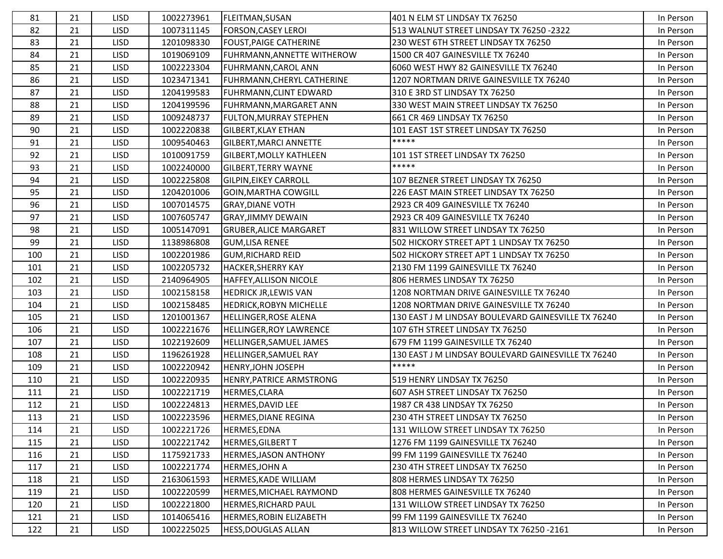| 81  | 21 | <b>LISD</b> | 1002273961 | <b>FLEITMAN, SUSAN</b>          | 401 N ELM ST LINDSAY TX 76250                       | In Person |
|-----|----|-------------|------------|---------------------------------|-----------------------------------------------------|-----------|
| 82  | 21 | <b>LISD</b> | 1007311145 | <b>FORSON, CASEY LEROI</b>      | 513 WALNUT STREET LINDSAY TX 76250 -2322            | In Person |
| 83  | 21 | <b>LISD</b> | 1201098330 | <b>FOUST, PAIGE CATHERINE</b>   | 230 WEST 6TH STREET LINDSAY TX 76250                | In Person |
| 84  | 21 | <b>LISD</b> | 1019069109 | FUHRMANN, ANNETTE WITHEROW      | 1500 CR 407 GAINESVILLE TX 76240                    | In Person |
| 85  | 21 | <b>LISD</b> | 1002223304 | FUHRMANN, CAROL ANN             | 6060 WEST HWY 82 GAINESVILLE TX 76240               | In Person |
| 86  | 21 | <b>LISD</b> | 1023471341 | FUHRMANN, CHERYL CATHERINE      | 1207 NORTMAN DRIVE GAINESVILLE TX 76240             | In Person |
| 87  | 21 | <b>LISD</b> | 1204199583 | FUHRMANN, CLINT EDWARD          | 310 E 3RD ST LINDSAY TX 76250                       | In Person |
| 88  | 21 | <b>LISD</b> | 1204199596 | FUHRMANN, MARGARET ANN          | 330 WEST MAIN STREET LINDSAY TX 76250               | In Person |
| 89  | 21 | <b>LISD</b> | 1009248737 | <b>FULTON, MURRAY STEPHEN</b>   | 661 CR 469 LINDSAY TX 76250                         | In Person |
| 90  | 21 | <b>LISD</b> | 1002220838 | <b>GILBERT, KLAY ETHAN</b>      | 101 EAST 1ST STREET LINDSAY TX 76250                | In Person |
| 91  | 21 | <b>LISD</b> | 1009540463 | <b>GILBERT, MARCI ANNETTE</b>   | *****                                               | In Person |
| 92  | 21 | <b>LISD</b> | 1010091759 | <b>GILBERT, MOLLY KATHLEEN</b>  | 101 1ST STREET LINDSAY TX 76250                     | In Person |
| 93  | 21 | <b>LISD</b> | 1002240000 | <b>GILBERT, TERRY WAYNE</b>     | *****                                               | In Person |
| 94  | 21 | <b>LISD</b> | 1002225808 | <b>GILPIN, EIKEY CARROLL</b>    | 107 BEZNER STREET LINDSAY TX 76250                  | In Person |
| 95  | 21 | <b>LISD</b> | 1204201006 | <b>GOIN, MARTHA COWGILL</b>     | 226 EAST MAIN STREET LINDSAY TX 76250               | In Person |
| 96  | 21 | <b>LISD</b> | 1007014575 | <b>GRAY, DIANE VOTH</b>         | 2923 CR 409 GAINESVILLE TX 76240                    | In Person |
| 97  | 21 | <b>LISD</b> | 1007605747 | <b>GRAY, JIMMY DEWAIN</b>       | 2923 CR 409 GAINESVILLE TX 76240                    | In Person |
| 98  | 21 | <b>LISD</b> | 1005147091 | <b>GRUBER, ALICE MARGARET</b>   | 831 WILLOW STREET LINDSAY TX 76250                  | In Person |
| 99  | 21 | <b>LISD</b> | 1138986808 | <b>GUM, LISA RENEE</b>          | 502 HICKORY STREET APT 1 LINDSAY TX 76250           | In Person |
| 100 | 21 | <b>LISD</b> | 1002201986 | <b>GUM, RICHARD REID</b>        | 502 HICKORY STREET APT 1 LINDSAY TX 76250           | In Person |
| 101 | 21 | <b>LISD</b> | 1002205732 | <b>HACKER, SHERRY KAY</b>       | 2130 FM 1199 GAINESVILLE TX 76240                   | In Person |
| 102 | 21 | <b>LISD</b> | 2140964905 | <b>HAFFEY, ALLISON NICOLE</b>   | 806 HERMES LINDSAY TX 76250                         | In Person |
| 103 | 21 | <b>LISD</b> | 1002158158 | <b>HEDRICK JR, LEWIS VAN</b>    | 1208 NORTMAN DRIVE GAINESVILLE TX 76240             | In Person |
| 104 | 21 | <b>LISD</b> | 1002158485 | <b>HEDRICK, ROBYN MICHELLE</b>  | 1208 NORTMAN DRIVE GAINESVILLE TX 76240             | In Person |
| 105 | 21 | <b>LISD</b> | 1201001367 | <b>HELLINGER, ROSE ALENA</b>    | 130 EAST J M LINDSAY BOULEVARD GAINESVILLE TX 76240 | In Person |
| 106 | 21 | <b>LISD</b> | 1002221676 | <b>HELLINGER, ROY LAWRENCE</b>  | 107 6TH STREET LINDSAY TX 76250                     | In Person |
| 107 | 21 | <b>LISD</b> | 1022192609 | HELLINGER, SAMUEL JAMES         | 679 FM 1199 GAINESVILLE TX 76240                    | In Person |
| 108 | 21 | <b>LISD</b> | 1196261928 | <b>HELLINGER, SAMUEL RAY</b>    | 130 EAST J M LINDSAY BOULEVARD GAINESVILLE TX 76240 | In Person |
| 109 | 21 | <b>LISD</b> | 1002220942 | <b>HENRY, JOHN JOSEPH</b>       | *****                                               | In Person |
| 110 | 21 | <b>LISD</b> | 1002220935 | <b>HENRY, PATRICE ARMSTRONG</b> | 519 HENRY LINDSAY TX 76250                          | In Person |
| 111 | 21 | <b>LISD</b> | 1002221719 | HERMES, CLARA                   | 607 ASH STREET LINDSAY TX 76250                     | In Person |
| 112 | 21 | <b>LISD</b> | 1002224813 | HERMES, DAVID LEE               | 1987 CR 438 LINDSAY TX 76250                        | In Person |
| 113 | 21 | <b>LISD</b> | 1002223596 | <b>HERMES, DIANE REGINA</b>     | 230 4TH STREET LINDSAY TX 76250                     | In Person |
| 114 | 21 | <b>LISD</b> | 1002221726 | <b>HERMES,EDNA</b>              | 131 WILLOW STREET LINDSAY TX 76250                  | In Person |
| 115 | 21 | <b>LISD</b> | 1002221742 | <b>HERMES, GILBERT T</b>        | 1276 FM 1199 GAINESVILLE TX 76240                   | In Person |
| 116 | 21 | <b>LISD</b> | 1175921733 | <b>HERMES, JASON ANTHONY</b>    | 99 FM 1199 GAINESVILLE TX 76240                     | In Person |
| 117 | 21 | <b>LISD</b> | 1002221774 | <b>HERMES, JOHN A</b>           | 230 4TH STREET LINDSAY TX 76250                     | In Person |
| 118 | 21 | <b>LISD</b> | 2163061593 | HERMES, KADE WILLIAM            | 808 HERMES LINDSAY TX 76250                         | In Person |
| 119 | 21 | <b>LISD</b> | 1002220599 | <b>HERMES, MICHAEL RAYMOND</b>  | 808 HERMES GAINESVILLE TX 76240                     | In Person |
| 120 | 21 | <b>LISD</b> | 1002221800 | <b>HERMES, RICHARD PAUL</b>     | 131 WILLOW STREET LINDSAY TX 76250                  | In Person |
| 121 | 21 | <b>LISD</b> | 1014065416 | <b>HERMES, ROBIN ELIZABETH</b>  | 99 FM 1199 GAINESVILLE TX 76240                     | In Person |
| 122 | 21 | <b>LISD</b> | 1002225025 | <b>HESS, DOUGLAS ALLAN</b>      | 813 WILLOW STREET LINDSAY TX 76250 -2161            | In Person |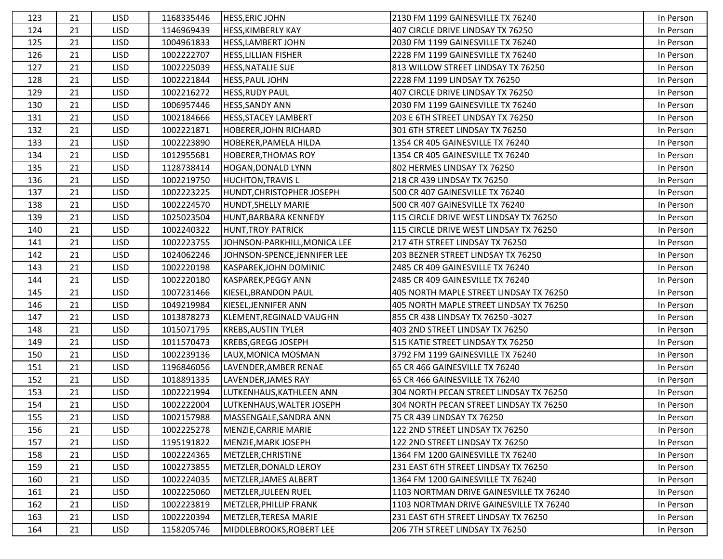| 123 | 21 | <b>LISD</b> | 1168335446 | <b>HESS, ERIC JOHN</b>       | 2130 FM 1199 GAINESVILLE TX 76240       | In Person |
|-----|----|-------------|------------|------------------------------|-----------------------------------------|-----------|
| 124 | 21 | <b>LISD</b> | 1146969439 | <b>HESS, KIMBERLY KAY</b>    | 407 CIRCLE DRIVE LINDSAY TX 76250       | In Person |
| 125 | 21 | <b>LISD</b> | 1004961833 | <b>HESS, LAMBERT JOHN</b>    | 2030 FM 1199 GAINESVILLE TX 76240       | In Person |
| 126 | 21 | <b>LISD</b> | 1002222707 | <b>HESS, LILLIAN FISHER</b>  | 2228 FM 1199 GAINESVILLE TX 76240       | In Person |
| 127 | 21 | <b>LISD</b> | 1002225039 | <b>HESS, NATALIE SUE</b>     | 813 WILLOW STREET LINDSAY TX 76250      | In Person |
| 128 | 21 | <b>LISD</b> | 1002221844 | <b>HESS, PAUL JOHN</b>       | 2228 FM 1199 LINDSAY TX 76250           | In Person |
| 129 | 21 | <b>LISD</b> | 1002216272 | <b>HESS, RUDY PAUL</b>       | 407 CIRCLE DRIVE LINDSAY TX 76250       | In Person |
| 130 | 21 | <b>LISD</b> | 1006957446 | HESS, SANDY ANN              | 2030 FM 1199 GAINESVILLE TX 76240       | In Person |
| 131 | 21 | <b>LISD</b> | 1002184666 | <b>HESS, STACEY LAMBERT</b>  | 203 E 6TH STREET LINDSAY TX 76250       | In Person |
| 132 | 21 | <b>LISD</b> | 1002221871 | HOBERER, JOHN RICHARD        | 301 6TH STREET LINDSAY TX 76250         | In Person |
| 133 | 21 | <b>LISD</b> | 1002223890 | HOBERER, PAMELA HILDA        | 1354 CR 405 GAINESVILLE TX 76240        | In Person |
| 134 | 21 | <b>LISD</b> | 1012955681 | HOBERER, THOMAS ROY          | 1354 CR 405 GAINESVILLE TX 76240        | In Person |
| 135 | 21 | <b>LISD</b> | 1128738414 | HOGAN, DONALD LYNN           | 802 HERMES LINDSAY TX 76250             | In Person |
| 136 | 21 | <b>LISD</b> | 1002219750 | <b>HUCHTON, TRAVIS L</b>     | 218 CR 439 LINDSAY TX 76250             | In Person |
| 137 | 21 | <b>LISD</b> | 1002223225 | HUNDT, CHRISTOPHER JOSEPH    | 500 CR 407 GAINESVILLE TX 76240         | In Person |
| 138 | 21 | <b>LISD</b> | 1002224570 | HUNDT, SHELLY MARIE          | 500 CR 407 GAINESVILLE TX 76240         | In Person |
| 139 | 21 | <b>LISD</b> | 1025023504 | HUNT, BARBARA KENNEDY        | 115 CIRCLE DRIVE WEST LINDSAY TX 76250  | In Person |
| 140 | 21 | <b>LISD</b> | 1002240322 | <b>HUNT, TROY PATRICK</b>    | 115 CIRCLE DRIVE WEST LINDSAY TX 76250  | In Person |
| 141 | 21 | <b>LISD</b> | 1002223755 | JOHNSON-PARKHILL, MONICA LEE | 217 4TH STREET LINDSAY TX 76250         | In Person |
| 142 | 21 | <b>LISD</b> | 1024062246 | JOHNSON-SPENCE, JENNIFER LEE | 203 BEZNER STREET LINDSAY TX 76250      | In Person |
| 143 | 21 | <b>LISD</b> | 1002220198 | KASPAREK, JOHN DOMINIC       | 2485 CR 409 GAINESVILLE TX 76240        | In Person |
| 144 | 21 | <b>LISD</b> | 1002220180 | <b>KASPAREK, PEGGY ANN</b>   | 2485 CR 409 GAINESVILLE TX 76240        | In Person |
| 145 | 21 | <b>LISD</b> | 1007231466 | KIESEL, BRANDON PAUL         | 405 NORTH MAPLE STREET LINDSAY TX 76250 | In Person |
| 146 | 21 | <b>LISD</b> | 1049219984 | KIESEL, JENNIFER ANN         | 405 NORTH MAPLE STREET LINDSAY TX 76250 | In Person |
| 147 | 21 | <b>LISD</b> | 1013878273 | KLEMENT,REGINALD VAUGHN      | 855 CR 438 LINDSAY TX 76250 -3027       | In Person |
| 148 | 21 | <b>LISD</b> | 1015071795 | <b>KREBS, AUSTIN TYLER</b>   | 403 2ND STREET LINDSAY TX 76250         | In Person |
| 149 | 21 | <b>LISD</b> | 1011570473 | <b>KREBS, GREGG JOSEPH</b>   | 515 KATIE STREET LINDSAY TX 76250       | In Person |
| 150 | 21 | <b>LISD</b> | 1002239136 | LAUX, MONICA MOSMAN          | 3792 FM 1199 GAINESVILLE TX 76240       | In Person |
| 151 | 21 | <b>LISD</b> | 1196846056 | LAVENDER, AMBER RENAE        | 65 CR 466 GAINESVILLE TX 76240          | In Person |
| 152 | 21 | <b>LISD</b> | 1018891335 | LAVENDER, JAMES RAY          | 65 CR 466 GAINESVILLE TX 76240          | In Person |
| 153 | 21 | <b>LISD</b> | 1002221994 | LUTKENHAUS, KATHLEEN ANN     | 304 NORTH PECAN STREET LINDSAY TX 76250 | In Person |
| 154 | 21 | <b>LISD</b> | 1002222004 | LUTKENHAUS, WALTER JOSEPH    | 304 NORTH PECAN STREET LINDSAY TX 76250 | In Person |
| 155 | 21 | <b>LISD</b> | 1002157988 | MASSENGALE, SANDRA ANN       | 75 CR 439 LINDSAY TX 76250              | In Person |
| 156 | 21 | <b>LISD</b> | 1002225278 | MENZIE, CARRIE MARIE         | 122 2ND STREET LINDSAY TX 76250         | In Person |
| 157 | 21 | <b>LISD</b> | 1195191822 | MENZIE, MARK JOSEPH          | 122 2ND STREET LINDSAY TX 76250         | In Person |
| 158 | 21 | <b>LISD</b> | 1002224365 | METZLER, CHRISTINE           | 1364 FM 1200 GAINESVILLE TX 76240       | In Person |
| 159 | 21 | <b>LISD</b> | 1002273855 | METZLER, DONALD LEROY        | 231 EAST 6TH STREET LINDSAY TX 76250    | In Person |
| 160 | 21 | <b>LISD</b> | 1002224035 | METZLER, JAMES ALBERT        | 1364 FM 1200 GAINESVILLE TX 76240       | In Person |
| 161 | 21 | <b>LISD</b> | 1002225060 | METZLER, JULEEN RUEL         | 1103 NORTMAN DRIVE GAINESVILLE TX 76240 | In Person |
| 162 | 21 | <b>LISD</b> | 1002223819 | METZLER, PHILLIP FRANK       | 1103 NORTMAN DRIVE GAINESVILLE TX 76240 | In Person |
| 163 | 21 | <b>LISD</b> | 1002220394 | METZLER, TERESA MARIE        | 231 EAST 6TH STREET LINDSAY TX 76250    | In Person |
| 164 | 21 | <b>LISD</b> | 1158205746 | MIDDLEBROOKS, ROBERT LEE     | 206 7TH STREET LINDSAY TX 76250         | In Person |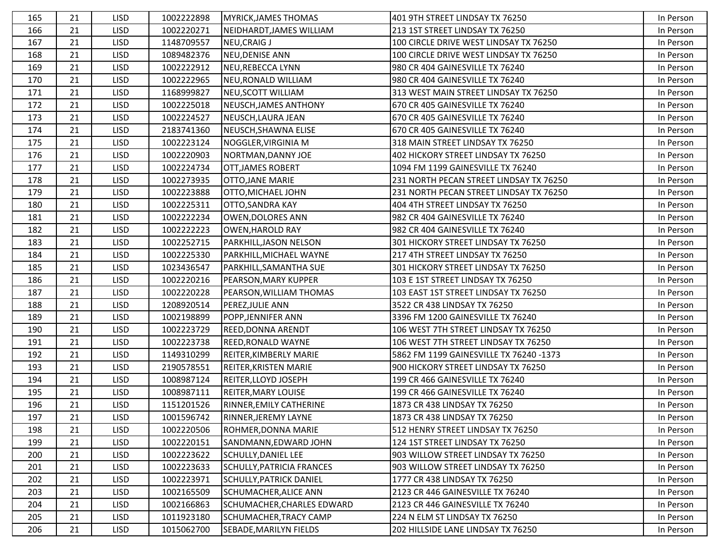| 165 | 21 | LISD.       | 1002222898 | <b>MYRICK, JAMES THOMAS</b>      | 401 9TH STREET LINDSAY TX 76250         | In Person |
|-----|----|-------------|------------|----------------------------------|-----------------------------------------|-----------|
| 166 | 21 | <b>LISD</b> | 1002220271 | NEIDHARDT, JAMES WILLIAM         | 213 1ST STREET LINDSAY TX 76250         | In Person |
| 167 | 21 | <b>LISD</b> | 1148709557 | NEU, CRAIG J                     | 100 CIRCLE DRIVE WEST LINDSAY TX 76250  | In Person |
| 168 | 21 | <b>LISD</b> | 1089482376 | NEU, DENISE ANN                  | 100 CIRCLE DRIVE WEST LINDSAY TX 76250  | In Person |
| 169 | 21 | <b>LISD</b> | 1002222912 | <b>NEU, REBECCA LYNN</b>         | 980 CR 404 GAINESVILLE TX 76240         | In Person |
| 170 | 21 | <b>LISD</b> | 1002222965 | NEU, RONALD WILLIAM              | 980 CR 404 GAINESVILLE TX 76240         | In Person |
| 171 | 21 | <b>LISD</b> | 1168999827 | NEU, SCOTT WILLIAM               | 313 WEST MAIN STREET LINDSAY TX 76250   | In Person |
| 172 | 21 | <b>LISD</b> | 1002225018 | NEUSCH, JAMES ANTHONY            | 670 CR 405 GAINESVILLE TX 76240         | In Person |
| 173 | 21 | <b>LISD</b> | 1002224527 | NEUSCH, LAURA JEAN               | 670 CR 405 GAINESVILLE TX 76240         | In Person |
| 174 | 21 | <b>LISD</b> | 2183741360 | NEUSCH, SHAWNA ELISE             | 670 CR 405 GAINESVILLE TX 76240         | In Person |
| 175 | 21 | <b>LISD</b> | 1002223124 | NOGGLER, VIRGINIA M              | 318 MAIN STREET LINDSAY TX 76250        | In Person |
| 176 | 21 | <b>LISD</b> | 1002220903 | NORTMAN, DANNY JOE               | 402 HICKORY STREET LINDSAY TX 76250     | In Person |
| 177 | 21 | <b>LISD</b> | 1002224734 | OTT, JAMES ROBERT                | 1094 FM 1199 GAINESVILLE TX 76240       | In Person |
| 178 | 21 | <b>LISD</b> | 1002273935 | <b>OTTO, JANE MARIE</b>          | 231 NORTH PECAN STREET LINDSAY TX 76250 | In Person |
| 179 | 21 | <b>LISD</b> | 1002223888 | OTTO, MICHAEL JOHN               | 231 NORTH PECAN STREET LINDSAY TX 76250 | In Person |
| 180 | 21 | <b>LISD</b> | 1002225311 | <b>OTTO, SANDRA KAY</b>          | 404 4TH STREET LINDSAY TX 76250         | In Person |
| 181 | 21 | <b>LISD</b> | 1002222234 | OWEN, DOLORES ANN                | 982 CR 404 GAINESVILLE TX 76240         | In Person |
| 182 | 21 | <b>LISD</b> | 1002222223 | OWEN, HAROLD RAY                 | 982 CR 404 GAINESVILLE TX 76240         | In Person |
| 183 | 21 | <b>LISD</b> | 1002252715 | PARKHILL, JASON NELSON           | 301 HICKORY STREET LINDSAY TX 76250     | In Person |
| 184 | 21 | <b>LISD</b> | 1002225330 | PARKHILL, MICHAEL WAYNE          | 217 4TH STREET LINDSAY TX 76250         | In Person |
| 185 | 21 | <b>LISD</b> | 1023436547 | PARKHILL,SAMANTHA SUE            | 301 HICKORY STREET LINDSAY TX 76250     | In Person |
| 186 | 21 | <b>LISD</b> | 1002220216 | PEARSON, MARY KUPPER             | 103 E 1ST STREET LINDSAY TX 76250       | In Person |
| 187 | 21 | <b>LISD</b> | 1002220228 | PEARSON, WILLIAM THOMAS          | 103 EAST 1ST STREET LINDSAY TX 76250    | In Person |
| 188 | 21 | <b>LISD</b> | 1208920514 | PEREZ, JULIE ANN                 | 3522 CR 438 LINDSAY TX 76250            | In Person |
| 189 | 21 | <b>LISD</b> | 1002198899 | POPP, JENNIFER ANN               | 3396 FM 1200 GAINESVILLE TX 76240       | In Person |
| 190 | 21 | <b>LISD</b> | 1002223729 | REED, DONNA ARENDT               | 106 WEST 7TH STREET LINDSAY TX 76250    | In Person |
| 191 | 21 | <b>LISD</b> | 1002223738 | <b>REED, RONALD WAYNE</b>        | 106 WEST 7TH STREET LINDSAY TX 76250    | In Person |
| 192 | 21 | <b>LISD</b> | 1149310299 | <b>REITER, KIMBERLY MARIE</b>    | 5862 FM 1199 GAINESVILLE TX 76240 -1373 | In Person |
| 193 | 21 | <b>LISD</b> | 2190578551 | REITER, KRISTEN MARIE            | 900 HICKORY STREET LINDSAY TX 76250     | In Person |
| 194 | 21 | <b>LISD</b> | 1008987124 | <b>REITER, LLOYD JOSEPH</b>      | 199 CR 466 GAINESVILLE TX 76240         | In Person |
| 195 | 21 | <b>LISD</b> | 1008987111 | <b>REITER, MARY LOUISE</b>       | 199 CR 466 GAINESVILLE TX 76240         | In Person |
| 196 | 21 | <b>LISD</b> | 1151201526 | RINNER, EMILY CATHERINE          | 1873 CR 438 LINDSAY TX 76250            | In Person |
| 197 | 21 | <b>LISD</b> | 1001596742 | RINNER, JEREMY LAYNE             | 1873 CR 438 LINDSAY TX 76250            | In Person |
| 198 | 21 | <b>LISD</b> | 1002220506 | ROHMER, DONNA MARIE              | 512 HENRY STREET LINDSAY TX 76250       | In Person |
| 199 | 21 | <b>LISD</b> | 1002220151 | SANDMANN, EDWARD JOHN            | 124 1ST STREET LINDSAY TX 76250         | In Person |
| 200 | 21 | <b>LISD</b> | 1002223622 | <b>SCHULLY, DANIEL LEE</b>       | 903 WILLOW STREET LINDSAY TX 76250      | In Person |
| 201 | 21 | <b>LISD</b> | 1002223633 | <b>SCHULLY, PATRICIA FRANCES</b> | 903 WILLOW STREET LINDSAY TX 76250      | In Person |
| 202 | 21 | <b>LISD</b> | 1002223971 | <b>SCHULLY, PATRICK DANIEL</b>   | 1777 CR 438 LINDSAY TX 76250            | In Person |
| 203 | 21 | <b>LISD</b> | 1002165509 | <b>SCHUMACHER, ALICE ANN</b>     | 2123 CR 446 GAINESVILLE TX 76240        | In Person |
| 204 | 21 | <b>LISD</b> | 1002166863 | SCHUMACHER, CHARLES EDWARD       | 2123 CR 446 GAINESVILLE TX 76240        | In Person |
| 205 | 21 | <b>LISD</b> | 1011923180 | SCHUMACHER, TRACY CAMP           | 224 N ELM ST LINDSAY TX 76250           | In Person |
| 206 | 21 | <b>LISD</b> | 1015062700 | SEBADE, MARILYN FIELDS           | 202 HILLSIDE LANE LINDSAY TX 76250      | In Person |